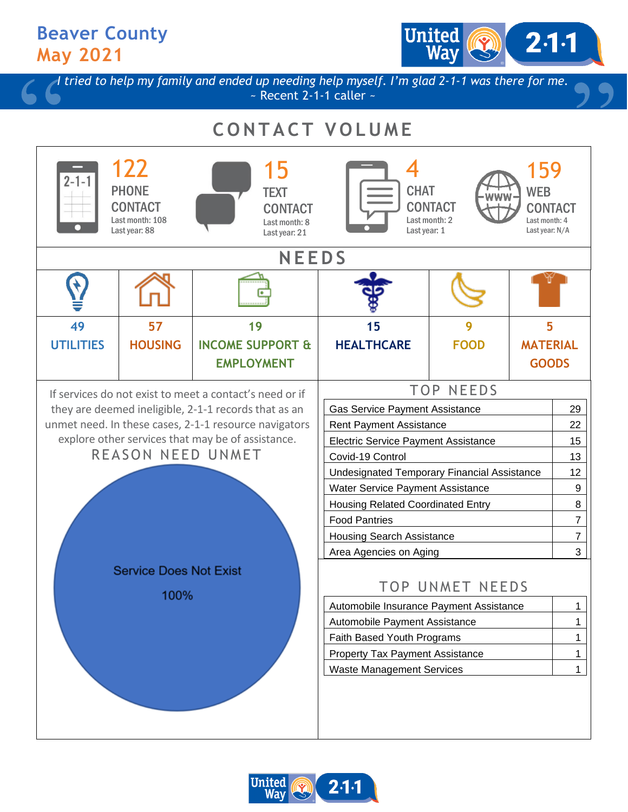**Beaver County May 2021**

United  $2·1·1$ 

*I tried to help my family and ended up needing help myself. I'm glad 2-1-1 was there for me.*  $\sim$  Recent 2-1-1 caller  $\sim$ 

## **C O N T A C T V O L U M E**